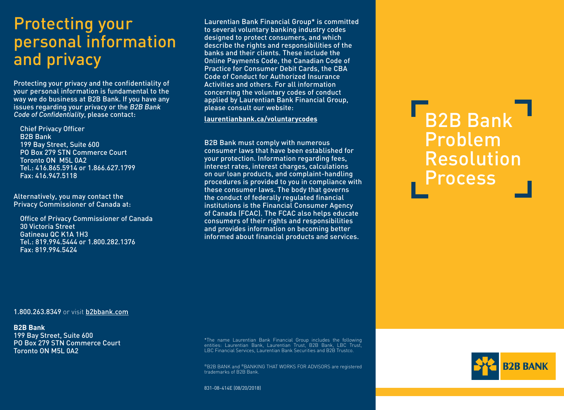# Protecting your personal information and privacy

Protecting your privacy and the confidentiality of your personal information is fundamental to the way we do business at B2B Bank. If you have any issues regarding your privacy or the B2B Bank Code of Confidentiality, please contact:

Chief Privacy Officer B2B Bank 199 Bay Street, Suite 600 PO Box 279 STN Commerce Court Toronto ON M5L 0A2 Tel.: 416.865.5914 or 1.866.627.1799 Fax: 416.947.5118

Alternatively, you may contact the Privacy Commissioner of Canada at:

Office of Privacy Commissioner of Canada 30 Victoria Street Gatineau QC K1A 1H3 Tel.: 819.994.5444 or 1.800.282.1376 Fax: 819.994.5424

Laurentian Bank Financial Group\* is committed to several voluntary banking industry codes designed to protect consumers, and which describe the rights and responsibilities of the banks and their clients. These include the Online Payments Code, the Canadian Code of Practice for Consumer Debit Cards, the CBA Code of Conduct for Authorized Insurance Activities and others. For all information concerning the voluntary codes of conduct applied by Laurentian Bank Financial Group, please consult our website:

**[laurentianbank.ca/voluntarycodes](http://laurentianbank.ca/voluntarycodes)**

B2B Bank must comply with numerous consumer laws that have been established for your protection. Information regarding fees, interest rates, interest charges, calculations on our loan products, and complaint-handling procedures is provided to you in compliance with these consumer laws. The body that governs the conduct of federally regulated financial institutions is the Financial Consumer Agency of Canada (FCAC). The FCAC also helps educate consumers of their rights and responsibilities and provides information on becoming better informed about financial products and services.

B<sub>2B</sub> Bank Problem Resolution Process

#### 1.800.263.8349 or visit [b2bbank.com](http://b2bbank.com)

**B2B Bank**

199 Bay Street, Suite 600 PO Box 279 STN Commerce Court Toronto ON M5L 0A2

\*The name Laurentian Bank Financial Group includes the following entities: Laurentian Bank, Laurentian Trust, B2B Bank, LBC Trust, LBC Financial Services, Laurentian Bank Securities and B2B Trustco.

®B2B BANK and ®BANKING THAT WORKS FOR ADVISORS are registered trademarks of B2B Bank.

831-08-414E (08/20/2018)